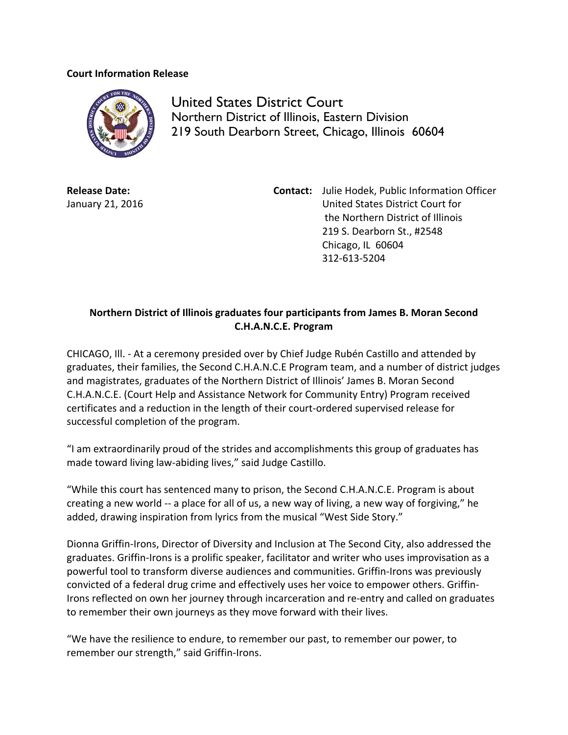## **Court Information Release**



United States District Court Northern District of Illinois, Eastern Division 219 South Dearborn Street, Chicago, Illinois 60604

**Release Date:** January 21, 2016 **Contact:** Julie Hodek, Public Information Officer United States District Court for the Northern District of Illinois 219 S. Dearborn St., #2548 Chicago, IL 60604 312-613-5204

## **Northern District of Illinois graduates four participants from James B. Moran Second C.H.A.N.C.E. Program**

CHICAGO, Ill. - At a ceremony presided over by Chief Judge Rubén Castillo and attended by graduates, their families, the Second C.H.A.N.C.E Program team, and a number of district judges and magistrates, graduates of the Northern District of Illinois' James B. Moran Second C.H.A.N.C.E. (Court Help and Assistance Network for Community Entry) Program received certificates and a reduction in the length of their court-ordered supervised release for successful completion of the program.

"I am extraordinarily proud of the strides and accomplishments this group of graduates has made toward living law-abiding lives," said Judge Castillo.

"While this court has sentenced many to prison, the Second C.H.A.N.C.E. Program is about creating a new world -- a place for all of us, a new way of living, a new way of forgiving," he added, drawing inspiration from lyrics from the musical "West Side Story."

Dionna Griffin-Irons, Director of Diversity and Inclusion at The Second City, also addressed the graduates. Griffin-Irons is a prolific speaker, facilitator and writer who uses improvisation as a powerful tool to transform diverse audiences and communities. Griffin-Irons was previously convicted of a federal drug crime and effectively uses her voice to empower others. Griffin-Irons reflected on own her journey through incarceration and re-entry and called on graduates to remember their own journeys as they move forward with their lives.

"We have the resilience to endure, to remember our past, to remember our power, to remember our strength," said Griffin-Irons.